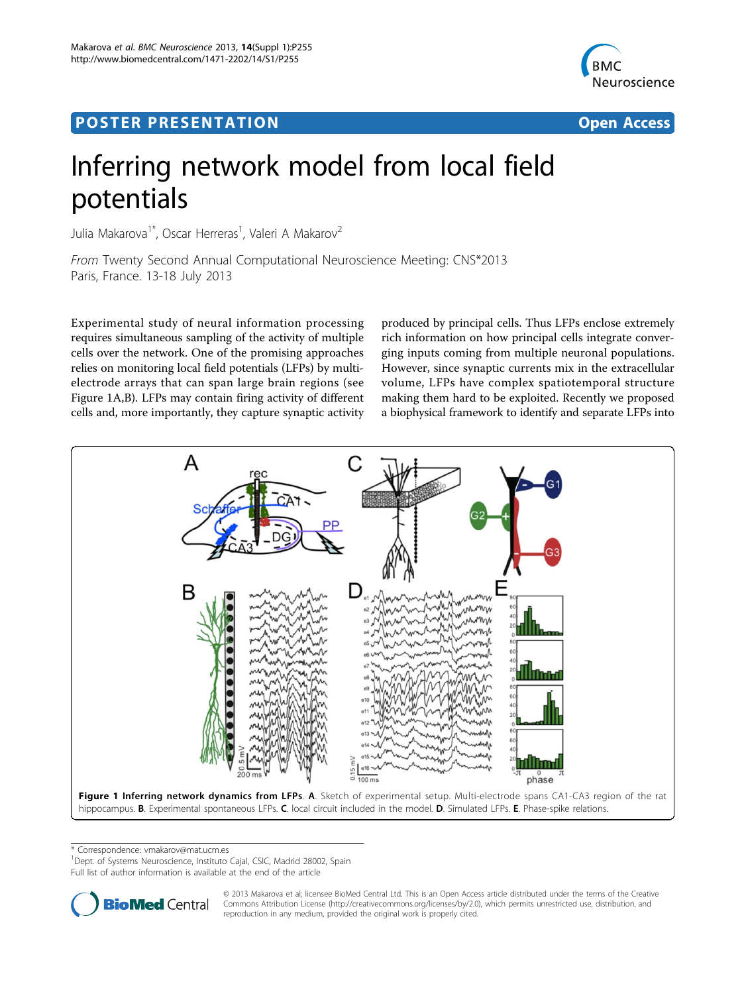

## <span id="page-0-0"></span>Post Experimental Police in the St English Police in the St English Police in the St English Police in the St<br>Police in the St English Police in the St English Police in the St English Police in the St English Police in



# Inferring network model from local field potentials

Julia Makarova<sup>1\*</sup>, Oscar Herreras<sup>1</sup>, Valeri A Makarov<sup>2</sup>

From Twenty Second Annual Computational Neuroscience Meeting: CNS\*2013 Paris, France. 13-18 July 2013

Experimental study of neural information processing requires simultaneous sampling of the activity of multiple cells over the network. One of the promising approaches relies on monitoring local field potentials (LFPs) by multielectrode arrays that can span large brain regions (see Figure 1A,B). LFPs may contain firing activity of different cells and, more importantly, they capture synaptic activity

produced by principal cells. Thus LFPs enclose extremely rich information on how principal cells integrate converging inputs coming from multiple neuronal populations. However, since synaptic currents mix in the extracellular volume, LFPs have complex spatiotemporal structure making them hard to be exploited. Recently we proposed a biophysical framework to identify and separate LFPs into



\* Correspondence: [vmakarov@mat.ucm.es](mailto:vmakarov@mat.ucm.es)

<sup>1</sup>Dept. of Systems Neuroscience, Instituto Cajal, CSIC, Madrid 28002, Spain

Full list of author information is available at the end of the article



© 2013 Makarova et al; licensee BioMed Central Ltd. This is an Open Access article distributed under the terms of the Creative Commons Attribution License [\(http://creativecommons.org/licenses/by/2.0](http://creativecommons.org/licenses/by/2.0)), which permits unrestricted use, distribution, and reproduction in any medium, provided the original work is properly cited.